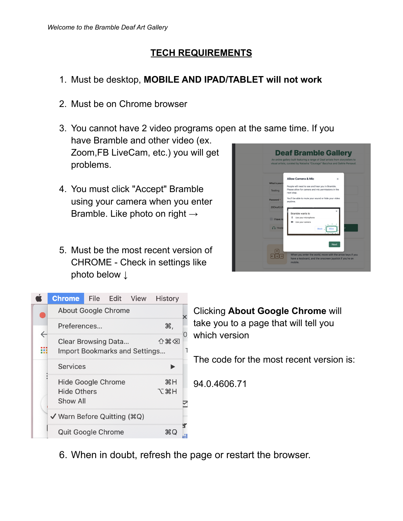### **TECH REQUIREMENTS**

- 1. Must be desktop, **MOBILE AND IPAD/TABLET will not work**
- 2. Must be on Chrome browser
- 3. You cannot have 2 video programs open at the same time. If you have Bramble and other video (ex. Zoom,FB LiveCam, etc.) you will get problems.
- 4. You must click "Accept" Bramble using your camera when you enter Bramble. Like photo on right  $\rightarrow$
- 5. Must be the most recent version of CHROME - Check in settings like photo below ↓





Clicking **About Google Chrome** will take you to a page that will tell you which version

The code for the most recent version is:

94.0.4606.71

6. When in doubt, refresh the page or restart the browser.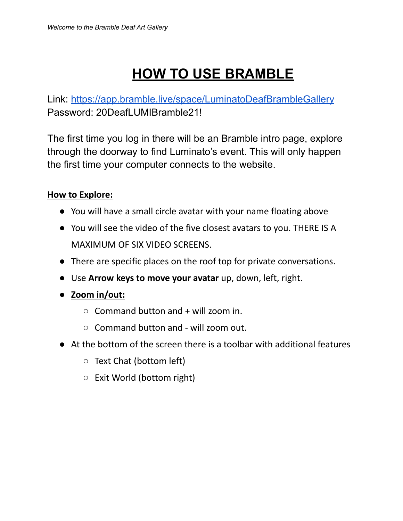# **HOW TO USE BRAMBLE**

Link: [https://app.bramble.live/space/LuminatoDeafBrambleGallery](https://na01.safelinks.protection.outlook.com/?url=https%3A%2F%2Fapp.bramble.live%2Fspace%2FLuminatoDeafBrambleGallery&data=04%7C01%7C%7C7beee8a2d56244b0e1b808d96e1d1094%7C84df9e7fe9f640afb435aaaaaaaaaaaa%7C1%7C0%7C637661893403844621%7CUnknown%7CTWFpbGZsb3d8eyJWIjoiMC4wLjAwMDAiLCJQIjoiV2luMzIiLCJBTiI6Ik1haWwiLCJXVCI6Mn0%3D%7C1000&sdata=ox5oHXPxTNw89bdRjJ5lnsUkVEwAhRZjkwr5jR85MtQ%3D&reserved=0) Password: 20DeafLUMIBramble21!

The first time you log in there will be an Bramble intro page, explore through the doorway to find Luminato's event. This will only happen the first time your computer connects to the website.

#### **How to Explore:**

- You will have a small circle avatar with your name floating above
- You will see the video of the five closest avatars to you. THERE IS A MAXIMUM OF SIX VIDEO SCREENS.
- There are specific places on the roof top for private conversations.
- Use **Arrow keys to move your avatar** up, down, left, right.
- **Zoom in/out:**
	- **○** Command button and + will zoom in.
	- **○** Command button and will zoom out.
- At the bottom of the screen there is a toolbar with additional features
	- Text Chat (bottom left)
	- Exit World (bottom right)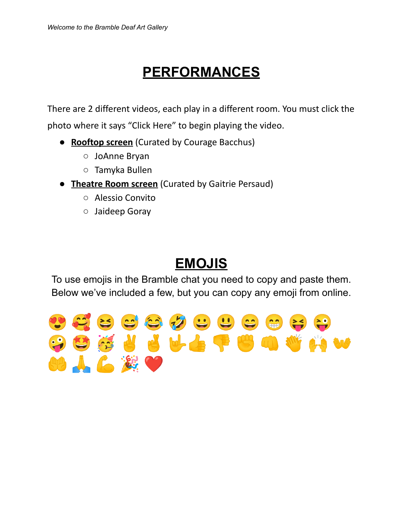## **PERFORMANCES**

There are 2 different videos, each play in a different room. You must click the photo where it says "Click Here" to begin playing the video.

- **Rooftop screen** (Curated by Courage Bacchus)
	- JoAnne Bryan
	- Tamyka Bullen
- **Theatre Room screen** (Curated by Gaitrie Persaud)
	- Alessio Convito
	- Jaideep Goray

### **EMOJIS**

To use emojis in the Bramble chat you need to copy and paste them. Below we've included a few, but you can copy any emoji from online.